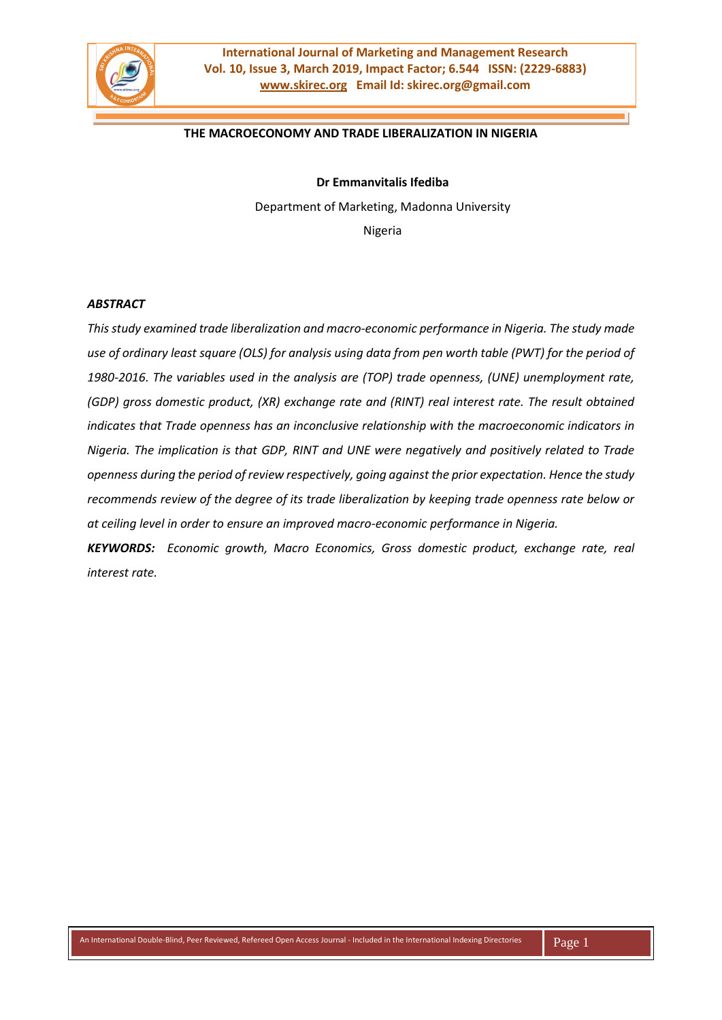

#### **THE MACROECONOMY AND TRADE LIBERALIZATION IN NIGERIA**

**Dr Emmanvitalis Ifediba**

Department of Marketing, Madonna University

Nigeria

#### *ABSTRACT*

*This study examined trade liberalization and macro-economic performance in Nigeria. The study made use of ordinary least square (OLS) for analysis using data from pen worth table (PWT) for the period of 1980-2016. The variables used in the analysis are (TOP) trade openness, (UNE) unemployment rate, (GDP) gross domestic product, (XR) exchange rate and (RINT) real interest rate. The result obtained indicates that Trade openness has an inconclusive relationship with the macroeconomic indicators in Nigeria. The implication is that GDP, RINT and UNE were negatively and positively related to Trade openness during the period of review respectively, going against the prior expectation. Hence the study recommends review of the degree of its trade liberalization by keeping trade openness rate below or at ceiling level in order to ensure an improved macro-economic performance in Nigeria.*

*KEYWORDS: Economic growth, Macro Economics, Gross domestic product, exchange rate, real interest rate.*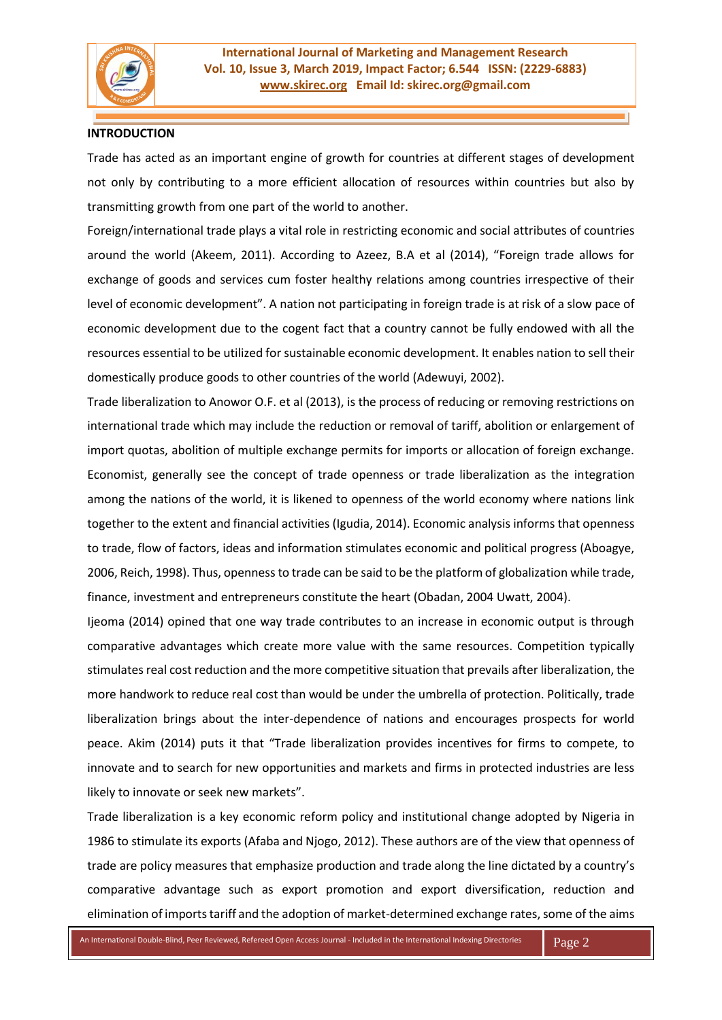

## **INTRODUCTION**

Trade has acted as an important engine of growth for countries at different stages of development not only by contributing to a more efficient allocation of resources within countries but also by transmitting growth from one part of the world to another.

Foreign/international trade plays a vital role in restricting economic and social attributes of countries around the world (Akeem, 2011). According to Azeez, B.A et al (2014), "Foreign trade allows for exchange of goods and services cum foster healthy relations among countries irrespective of their level of economic development". A nation not participating in foreign trade is at risk of a slow pace of economic development due to the cogent fact that a country cannot be fully endowed with all the resources essential to be utilized for sustainable economic development. It enables nation to sell their domestically produce goods to other countries of the world (Adewuyi, 2002).

Trade liberalization to Anowor O.F. et al (2013), is the process of reducing or removing restrictions on international trade which may include the reduction or removal of tariff, abolition or enlargement of import quotas, abolition of multiple exchange permits for imports or allocation of foreign exchange. Economist, generally see the concept of trade openness or trade liberalization as the integration among the nations of the world, it is likened to openness of the world economy where nations link together to the extent and financial activities (Igudia, 2014). Economic analysis informs that openness to trade, flow of factors, ideas and information stimulates economic and political progress (Aboagye, 2006, Reich, 1998). Thus, openness to trade can be said to be the platform of globalization while trade, finance, investment and entrepreneurs constitute the heart (Obadan, 2004 Uwatt, 2004).

Ijeoma (2014) opined that one way trade contributes to an increase in economic output is through comparative advantages which create more value with the same resources. Competition typically stimulates real cost reduction and the more competitive situation that prevails after liberalization, the more handwork to reduce real cost than would be under the umbrella of protection. Politically, trade liberalization brings about the inter-dependence of nations and encourages prospects for world peace. Akim (2014) puts it that "Trade liberalization provides incentives for firms to compete, to innovate and to search for new opportunities and markets and firms in protected industries are less likely to innovate or seek new markets".

Trade liberalization is a key economic reform policy and institutional change adopted by Nigeria in 1986 to stimulate its exports (Afaba and Njogo, 2012). These authors are of the view that openness of trade are policy measures that emphasize production and trade along the line dictated by a country's comparative advantage such as export promotion and export diversification, reduction and elimination of imports tariff and the adoption of market-determined exchange rates, some of the aims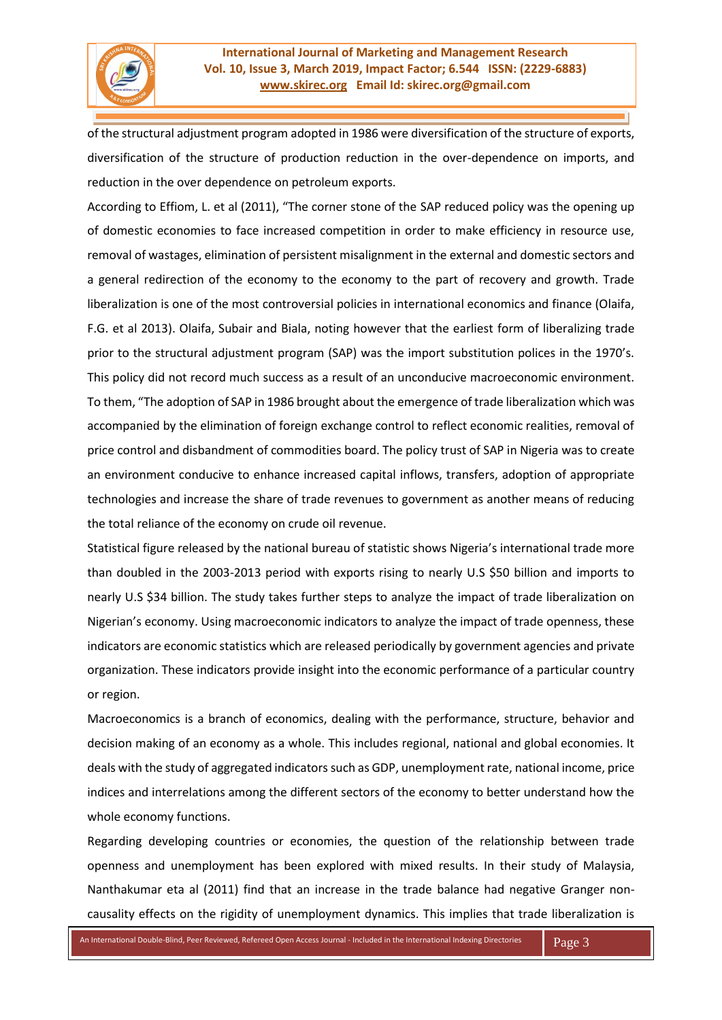of the structural adjustment program adopted in 1986 were diversification of the structure of exports, diversification of the structure of production reduction in the over-dependence on imports, and reduction in the over dependence on petroleum exports.

According to Effiom, L. et al (2011), "The corner stone of the SAP reduced policy was the opening up of domestic economies to face increased competition in order to make efficiency in resource use, removal of wastages, elimination of persistent misalignment in the external and domestic sectors and a general redirection of the economy to the economy to the part of recovery and growth. Trade liberalization is one of the most controversial policies in international economics and finance (Olaifa, F.G. et al 2013). Olaifa, Subair and Biala, noting however that the earliest form of liberalizing trade prior to the structural adjustment program (SAP) was the import substitution polices in the 1970's. This policy did not record much success as a result of an unconducive macroeconomic environment. To them, "The adoption of SAP in 1986 brought about the emergence of trade liberalization which was accompanied by the elimination of foreign exchange control to reflect economic realities, removal of price control and disbandment of commodities board. The policy trust of SAP in Nigeria was to create an environment conducive to enhance increased capital inflows, transfers, adoption of appropriate technologies and increase the share of trade revenues to government as another means of reducing the total reliance of the economy on crude oil revenue.

Statistical figure released by the national bureau of statistic shows Nigeria's international trade more than doubled in the 2003-2013 period with exports rising to nearly U.S \$50 billion and imports to nearly U.S \$34 billion. The study takes further steps to analyze the impact of trade liberalization on Nigerian's economy. Using macroeconomic indicators to analyze the impact of trade openness, these indicators are economic statistics which are released periodically by government agencies and private organization. These indicators provide insight into the economic performance of a particular country or region.

Macroeconomics is a branch of economics, dealing with the performance, structure, behavior and decision making of an economy as a whole. This includes regional, national and global economies. It deals with the study of aggregated indicators such as GDP, unemployment rate, national income, price indices and interrelations among the different sectors of the economy to better understand how the whole economy functions.

Regarding developing countries or economies, the question of the relationship between trade openness and unemployment has been explored with mixed results. In their study of Malaysia, Nanthakumar eta al (2011) find that an increase in the trade balance had negative Granger noncausality effects on the rigidity of unemployment dynamics. This implies that trade liberalization is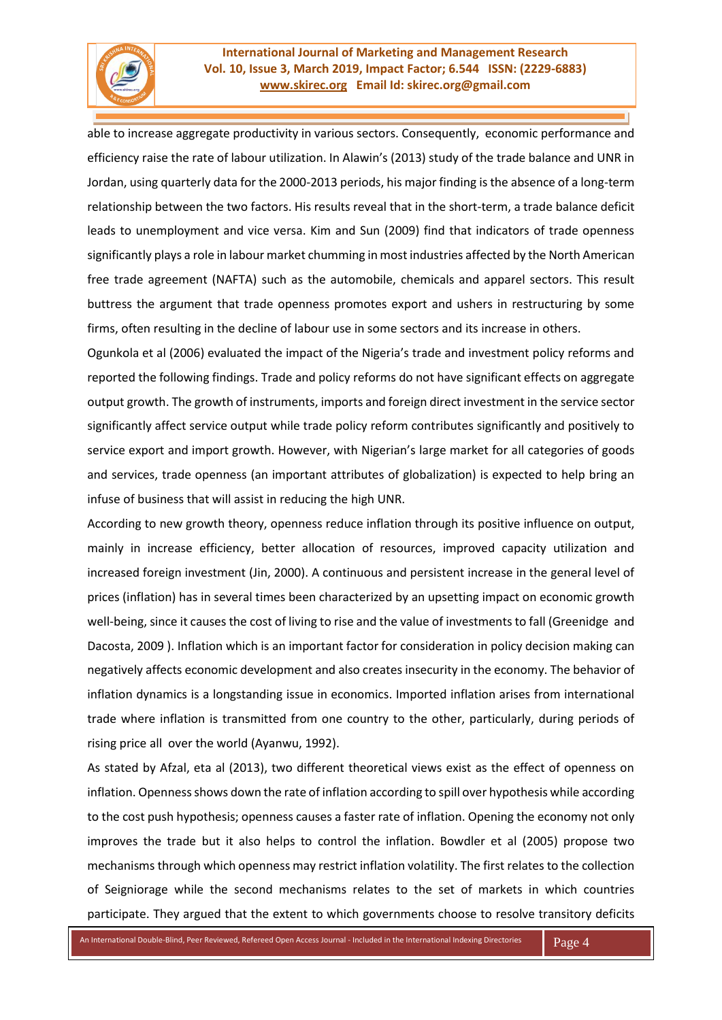

able to increase aggregate productivity in various sectors. Consequently, economic performance and efficiency raise the rate of labour utilization. In Alawin's (2013) study of the trade balance and UNR in Jordan, using quarterly data for the 2000-2013 periods, his major finding is the absence of a long-term relationship between the two factors. His results reveal that in the short-term, a trade balance deficit leads to unemployment and vice versa. Kim and Sun (2009) find that indicators of trade openness significantly plays a role in labour market chumming in most industries affected by the North American free trade agreement (NAFTA) such as the automobile, chemicals and apparel sectors. This result buttress the argument that trade openness promotes export and ushers in restructuring by some firms, often resulting in the decline of labour use in some sectors and its increase in others.

Ogunkola et al (2006) evaluated the impact of the Nigeria's trade and investment policy reforms and reported the following findings. Trade and policy reforms do not have significant effects on aggregate output growth. The growth of instruments, imports and foreign direct investment in the service sector significantly affect service output while trade policy reform contributes significantly and positively to service export and import growth. However, with Nigerian's large market for all categories of goods and services, trade openness (an important attributes of globalization) is expected to help bring an infuse of business that will assist in reducing the high UNR.

According to new growth theory, openness reduce inflation through its positive influence on output, mainly in increase efficiency, better allocation of resources, improved capacity utilization and increased foreign investment (Jin, 2000). A continuous and persistent increase in the general level of prices (inflation) has in several times been characterized by an upsetting impact on economic growth well-being, since it causes the cost of living to rise and the value of investments to fall (Greenidge and Dacosta, 2009 ). Inflation which is an important factor for consideration in policy decision making can negatively affects economic development and also creates insecurity in the economy. The behavior of inflation dynamics is a longstanding issue in economics. Imported inflation arises from international trade where inflation is transmitted from one country to the other, particularly, during periods of rising price all over the world (Ayanwu, 1992).

As stated by Afzal, eta al (2013), two different theoretical views exist as the effect of openness on inflation. Openness shows down the rate of inflation according to spill over hypothesis while according to the cost push hypothesis; openness causes a faster rate of inflation. Opening the economy not only improves the trade but it also helps to control the inflation. Bowdler et al (2005) propose two mechanisms through which openness may restrict inflation volatility. The first relates to the collection of Seigniorage while the second mechanisms relates to the set of markets in which countries participate. They argued that the extent to which governments choose to resolve transitory deficits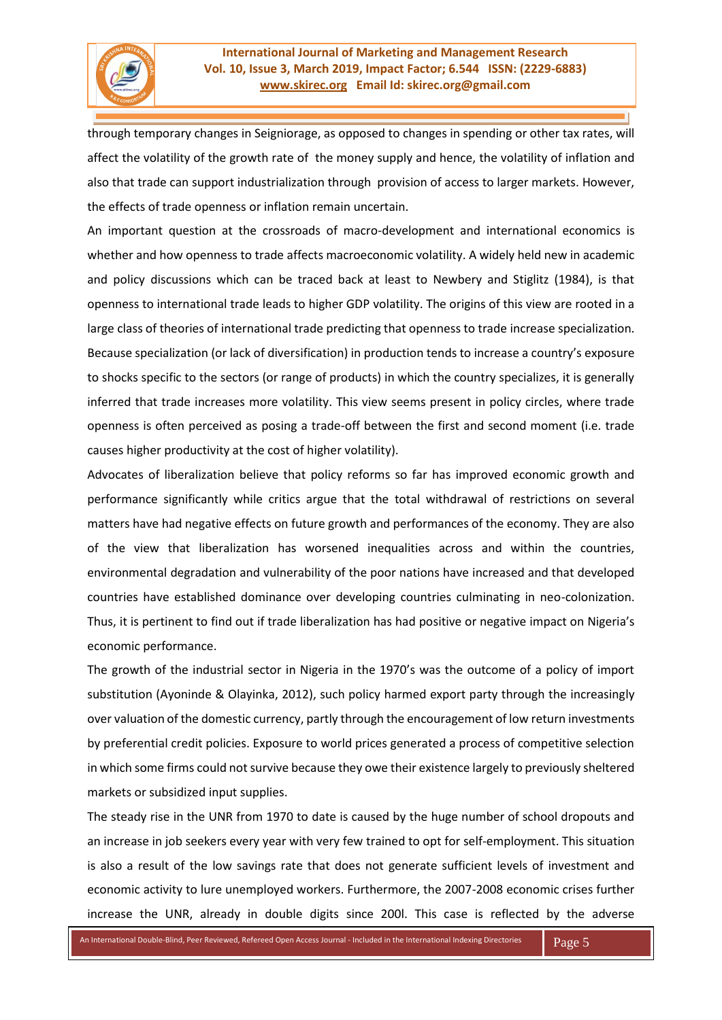through temporary changes in Seigniorage, as opposed to changes in spending or other tax rates, will affect the volatility of the growth rate of the money supply and hence, the volatility of inflation and also that trade can support industrialization through provision of access to larger markets. However, the effects of trade openness or inflation remain uncertain.

An important question at the crossroads of macro-development and international economics is whether and how openness to trade affects macroeconomic volatility. A widely held new in academic and policy discussions which can be traced back at least to Newbery and Stiglitz (1984), is that openness to international trade leads to higher GDP volatility. The origins of this view are rooted in a large class of theories of international trade predicting that openness to trade increase specialization. Because specialization (or lack of diversification) in production tends to increase a country's exposure to shocks specific to the sectors (or range of products) in which the country specializes, it is generally inferred that trade increases more volatility. This view seems present in policy circles, where trade openness is often perceived as posing a trade-off between the first and second moment (i.e. trade causes higher productivity at the cost of higher volatility).

Advocates of liberalization believe that policy reforms so far has improved economic growth and performance significantly while critics argue that the total withdrawal of restrictions on several matters have had negative effects on future growth and performances of the economy. They are also of the view that liberalization has worsened inequalities across and within the countries, environmental degradation and vulnerability of the poor nations have increased and that developed countries have established dominance over developing countries culminating in neo-colonization. Thus, it is pertinent to find out if trade liberalization has had positive or negative impact on Nigeria's economic performance.

The growth of the industrial sector in Nigeria in the 1970's was the outcome of a policy of import substitution (Ayoninde & Olayinka, 2012), such policy harmed export party through the increasingly over valuation of the domestic currency, partly through the encouragement of low return investments by preferential credit policies. Exposure to world prices generated a process of competitive selection in which some firms could not survive because they owe their existence largely to previously sheltered markets or subsidized input supplies.

The steady rise in the UNR from 1970 to date is caused by the huge number of school dropouts and an increase in job seekers every year with very few trained to opt for self-employment. This situation is also a result of the low savings rate that does not generate sufficient levels of investment and economic activity to lure unemployed workers. Furthermore, the 2007-2008 economic crises further increase the UNR, already in double digits since 200l. This case is reflected by the adverse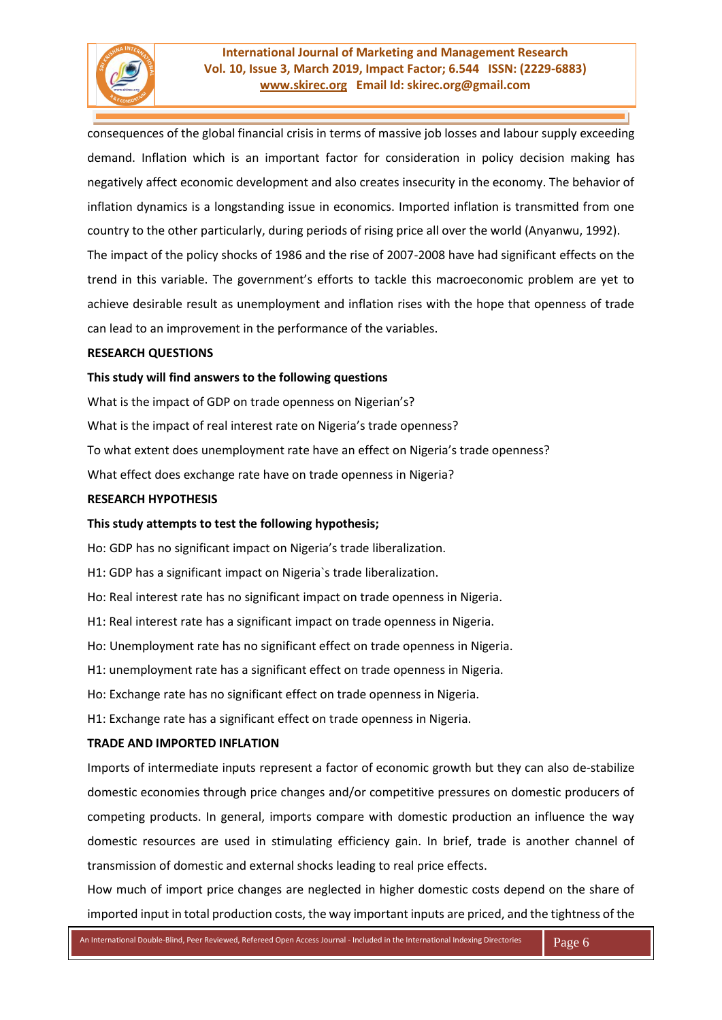

consequences of the global financial crisis in terms of massive job losses and labour supply exceeding demand. Inflation which is an important factor for consideration in policy decision making has negatively affect economic development and also creates insecurity in the economy. The behavior of inflation dynamics is a longstanding issue in economics. Imported inflation is transmitted from one country to the other particularly, during periods of rising price all over the world (Anyanwu, 1992). The impact of the policy shocks of 1986 and the rise of 2007-2008 have had significant effects on the trend in this variable. The government's efforts to tackle this macroeconomic problem are yet to achieve desirable result as unemployment and inflation rises with the hope that openness of trade can lead to an improvement in the performance of the variables.

#### **RESEARCH QUESTIONS**

#### **This study will find answers to the following questions**

What is the impact of GDP on trade openness on Nigerian's? What is the impact of real interest rate on Nigeria's trade openness? To what extent does unemployment rate have an effect on Nigeria's trade openness? What effect does exchange rate have on trade openness in Nigeria?

#### **RESEARCH HYPOTHESIS**

### **This study attempts to test the following hypothesis;**

Ho: GDP has no significant impact on Nigeria's trade liberalization.

H1: GDP has a significant impact on Nigeria`s trade liberalization.

Ho: Real interest rate has no significant impact on trade openness in Nigeria.

H1: Real interest rate has a significant impact on trade openness in Nigeria.

Ho: Unemployment rate has no significant effect on trade openness in Nigeria.

H1: unemployment rate has a significant effect on trade openness in Nigeria.

Ho: Exchange rate has no significant effect on trade openness in Nigeria.

H1: Exchange rate has a significant effect on trade openness in Nigeria.

### **TRADE AND IMPORTED INFLATION**

Imports of intermediate inputs represent a factor of economic growth but they can also de-stabilize domestic economies through price changes and/or competitive pressures on domestic producers of competing products. In general, imports compare with domestic production an influence the way domestic resources are used in stimulating efficiency gain. In brief, trade is another channel of transmission of domestic and external shocks leading to real price effects.

How much of import price changes are neglected in higher domestic costs depend on the share of imported input in total production costs, the way important inputs are priced, and the tightness of the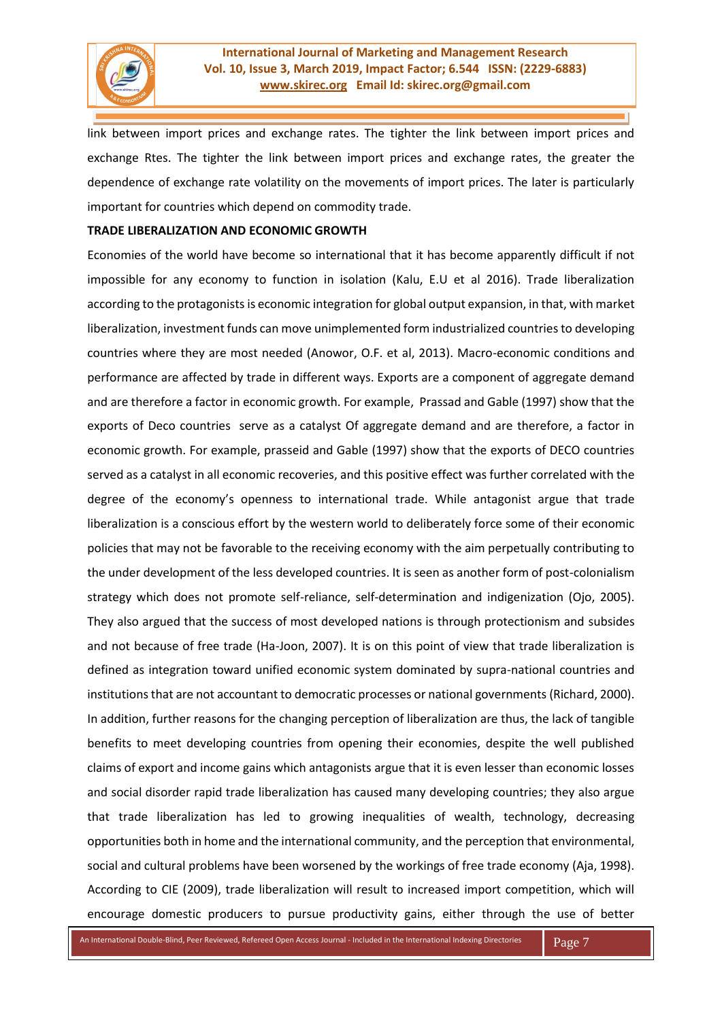

link between import prices and exchange rates. The tighter the link between import prices and exchange Rtes. The tighter the link between import prices and exchange rates, the greater the dependence of exchange rate volatility on the movements of import prices. The later is particularly important for countries which depend on commodity trade.

### **TRADE LIBERALIZATION AND ECONOMIC GROWTH**

Economies of the world have become so international that it has become apparently difficult if not impossible for any economy to function in isolation (Kalu, E.U et al 2016). Trade liberalization according to the protagonists is economic integration for global output expansion, in that, with market liberalization, investment funds can move unimplemented form industrialized countries to developing countries where they are most needed (Anowor, O.F. et al, 2013). Macro-economic conditions and performance are affected by trade in different ways. Exports are a component of aggregate demand and are therefore a factor in economic growth. For example, Prassad and Gable (1997) show that the exports of Deco countries serve as a catalyst Of aggregate demand and are therefore, a factor in economic growth. For example, prasseid and Gable (1997) show that the exports of DECO countries served as a catalyst in all economic recoveries, and this positive effect was further correlated with the degree of the economy's openness to international trade. While antagonist argue that trade liberalization is a conscious effort by the western world to deliberately force some of their economic policies that may not be favorable to the receiving economy with the aim perpetually contributing to the under development of the less developed countries. It is seen as another form of post-colonialism strategy which does not promote self-reliance, self-determination and indigenization (Ojo, 2005). They also argued that the success of most developed nations is through protectionism and subsides and not because of free trade (Ha-Joon, 2007). It is on this point of view that trade liberalization is defined as integration toward unified economic system dominated by supra-national countries and institutions that are not accountant to democratic processes or national governments (Richard, 2000). In addition, further reasons for the changing perception of liberalization are thus, the lack of tangible benefits to meet developing countries from opening their economies, despite the well published claims of export and income gains which antagonists argue that it is even lesser than economic losses and social disorder rapid trade liberalization has caused many developing countries; they also argue that trade liberalization has led to growing inequalities of wealth, technology, decreasing opportunities both in home and the international community, and the perception that environmental, social and cultural problems have been worsened by the workings of free trade economy (Aja, 1998). According to CIE (2009), trade liberalization will result to increased import competition, which will encourage domestic producers to pursue productivity gains, either through the use of better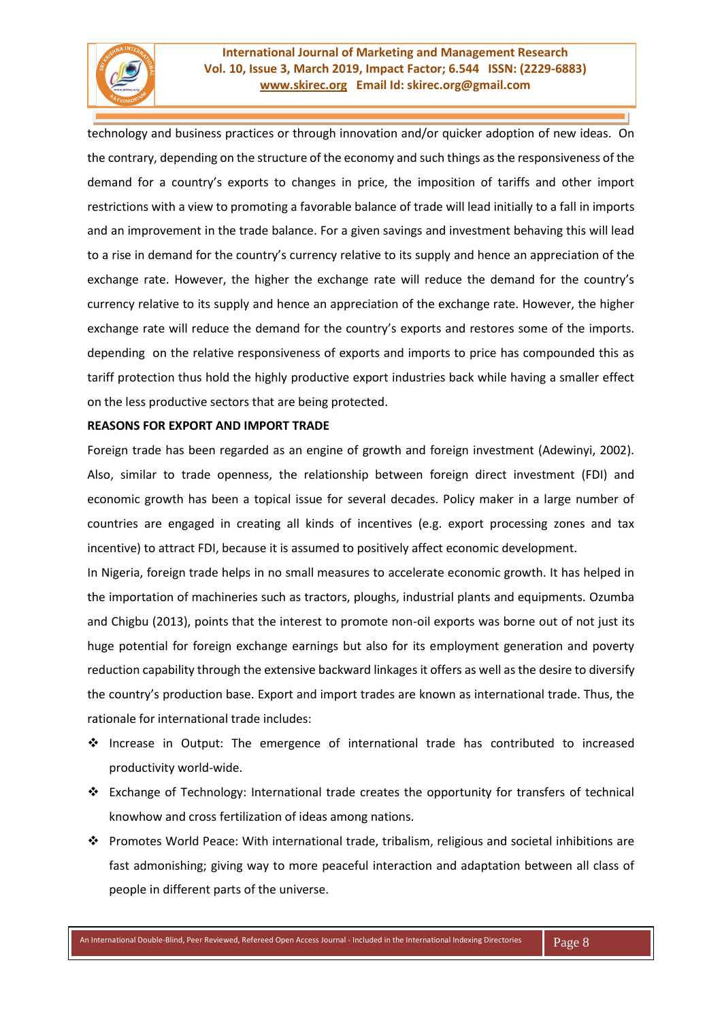

technology and business practices or through innovation and/or quicker adoption of new ideas. On the contrary, depending on the structure of the economy and such things as the responsiveness of the demand for a country's exports to changes in price, the imposition of tariffs and other import restrictions with a view to promoting a favorable balance of trade will lead initially to a fall in imports and an improvement in the trade balance. For a given savings and investment behaving this will lead to a rise in demand for the country's currency relative to its supply and hence an appreciation of the exchange rate. However, the higher the exchange rate will reduce the demand for the country's currency relative to its supply and hence an appreciation of the exchange rate. However, the higher exchange rate will reduce the demand for the country's exports and restores some of the imports. depending on the relative responsiveness of exports and imports to price has compounded this as tariff protection thus hold the highly productive export industries back while having a smaller effect on the less productive sectors that are being protected.

#### **REASONS FOR EXPORT AND IMPORT TRADE**

Foreign trade has been regarded as an engine of growth and foreign investment (Adewinyi, 2002). Also, similar to trade openness, the relationship between foreign direct investment (FDI) and economic growth has been a topical issue for several decades. Policy maker in a large number of countries are engaged in creating all kinds of incentives (e.g. export processing zones and tax incentive) to attract FDI, because it is assumed to positively affect economic development.

In Nigeria, foreign trade helps in no small measures to accelerate economic growth. It has helped in the importation of machineries such as tractors, ploughs, industrial plants and equipments. Ozumba and Chigbu (2013), points that the interest to promote non-oil exports was borne out of not just its huge potential for foreign exchange earnings but also for its employment generation and poverty reduction capability through the extensive backward linkages it offers as well as the desire to diversify the country's production base. Export and import trades are known as international trade. Thus, the rationale for international trade includes:

- ❖ Increase in Output: The emergence of international trade has contributed to increased productivity world-wide.
- ❖ Exchange of Technology: International trade creates the opportunity for transfers of technical knowhow and cross fertilization of ideas among nations.
- ❖ Promotes World Peace: With international trade, tribalism, religious and societal inhibitions are fast admonishing; giving way to more peaceful interaction and adaptation between all class of people in different parts of the universe.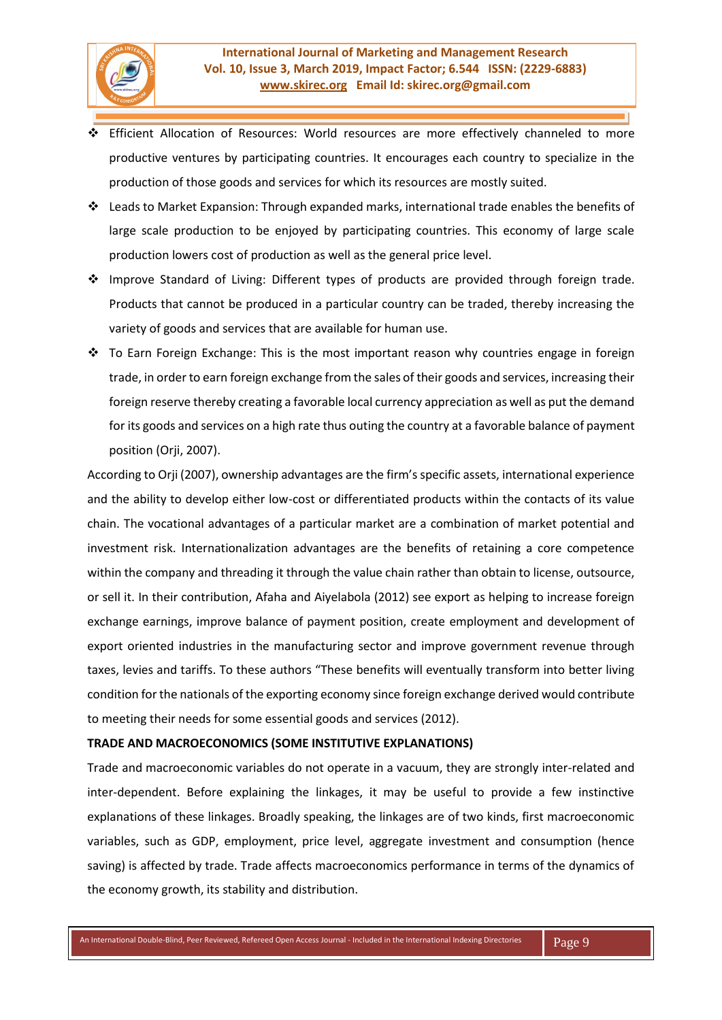- ❖ Efficient Allocation of Resources: World resources are more effectively channeled to more productive ventures by participating countries. It encourages each country to specialize in the production of those goods and services for which its resources are mostly suited.
- ❖ Leads to Market Expansion: Through expanded marks, international trade enables the benefits of large scale production to be enjoyed by participating countries. This economy of large scale production lowers cost of production as well as the general price level.
- ❖ Improve Standard of Living: Different types of products are provided through foreign trade. Products that cannot be produced in a particular country can be traded, thereby increasing the variety of goods and services that are available for human use.
- ❖ To Earn Foreign Exchange: This is the most important reason why countries engage in foreign trade, in order to earn foreign exchange from the sales of their goods and services, increasing their foreign reserve thereby creating a favorable local currency appreciation as well as put the demand for its goods and services on a high rate thus outing the country at a favorable balance of payment position (Orji, 2007).

According to Orji (2007), ownership advantages are the firm's specific assets, international experience and the ability to develop either low-cost or differentiated products within the contacts of its value chain. The vocational advantages of a particular market are a combination of market potential and investment risk. Internationalization advantages are the benefits of retaining a core competence within the company and threading it through the value chain rather than obtain to license, outsource, or sell it. In their contribution, Afaha and Aiyelabola (2012) see export as helping to increase foreign exchange earnings, improve balance of payment position, create employment and development of export oriented industries in the manufacturing sector and improve government revenue through taxes, levies and tariffs. To these authors "These benefits will eventually transform into better living condition for the nationals of the exporting economy since foreign exchange derived would contribute to meeting their needs for some essential goods and services (2012).

# **TRADE AND MACROECONOMICS (SOME INSTITUTIVE EXPLANATIONS)**

Trade and macroeconomic variables do not operate in a vacuum, they are strongly inter-related and inter-dependent. Before explaining the linkages, it may be useful to provide a few instinctive explanations of these linkages. Broadly speaking, the linkages are of two kinds, first macroeconomic variables, such as GDP, employment, price level, aggregate investment and consumption (hence saving) is affected by trade. Trade affects macroeconomics performance in terms of the dynamics of the economy growth, its stability and distribution.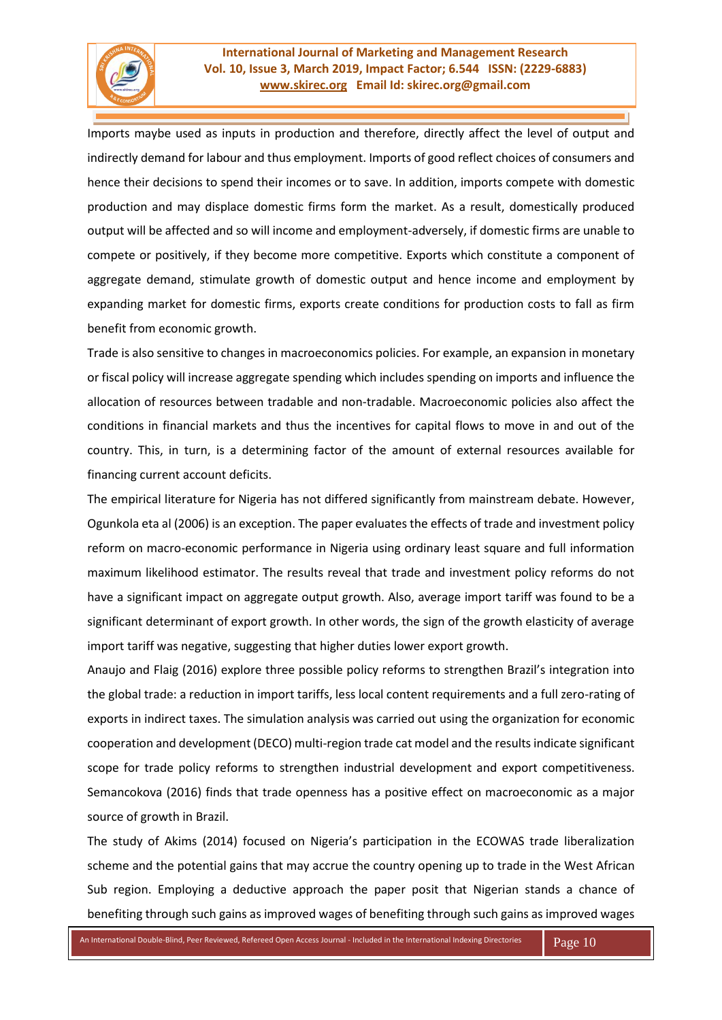

Imports maybe used as inputs in production and therefore, directly affect the level of output and indirectly demand for labour and thus employment. Imports of good reflect choices of consumers and hence their decisions to spend their incomes or to save. In addition, imports compete with domestic production and may displace domestic firms form the market. As a result, domestically produced output will be affected and so will income and employment-adversely, if domestic firms are unable to compete or positively, if they become more competitive. Exports which constitute a component of aggregate demand, stimulate growth of domestic output and hence income and employment by expanding market for domestic firms, exports create conditions for production costs to fall as firm benefit from economic growth.

Trade is also sensitive to changes in macroeconomics policies. For example, an expansion in monetary or fiscal policy will increase aggregate spending which includes spending on imports and influence the allocation of resources between tradable and non-tradable. Macroeconomic policies also affect the conditions in financial markets and thus the incentives for capital flows to move in and out of the country. This, in turn, is a determining factor of the amount of external resources available for financing current account deficits.

The empirical literature for Nigeria has not differed significantly from mainstream debate. However, Ogunkola eta al (2006) is an exception. The paper evaluates the effects of trade and investment policy reform on macro-economic performance in Nigeria using ordinary least square and full information maximum likelihood estimator. The results reveal that trade and investment policy reforms do not have a significant impact on aggregate output growth. Also, average import tariff was found to be a significant determinant of export growth. In other words, the sign of the growth elasticity of average import tariff was negative, suggesting that higher duties lower export growth.

Anaujo and Flaig (2016) explore three possible policy reforms to strengthen Brazil's integration into the global trade: a reduction in import tariffs, less local content requirements and a full zero-rating of exports in indirect taxes. The simulation analysis was carried out using the organization for economic cooperation and development (DECO) multi-region trade cat model and the results indicate significant scope for trade policy reforms to strengthen industrial development and export competitiveness. Semancokova (2016) finds that trade openness has a positive effect on macroeconomic as a major source of growth in Brazil.

The study of Akims (2014) focused on Nigeria's participation in the ECOWAS trade liberalization scheme and the potential gains that may accrue the country opening up to trade in the West African Sub region. Employing a deductive approach the paper posit that Nigerian stands a chance of benefiting through such gains as improved wages of benefiting through such gains as improved wages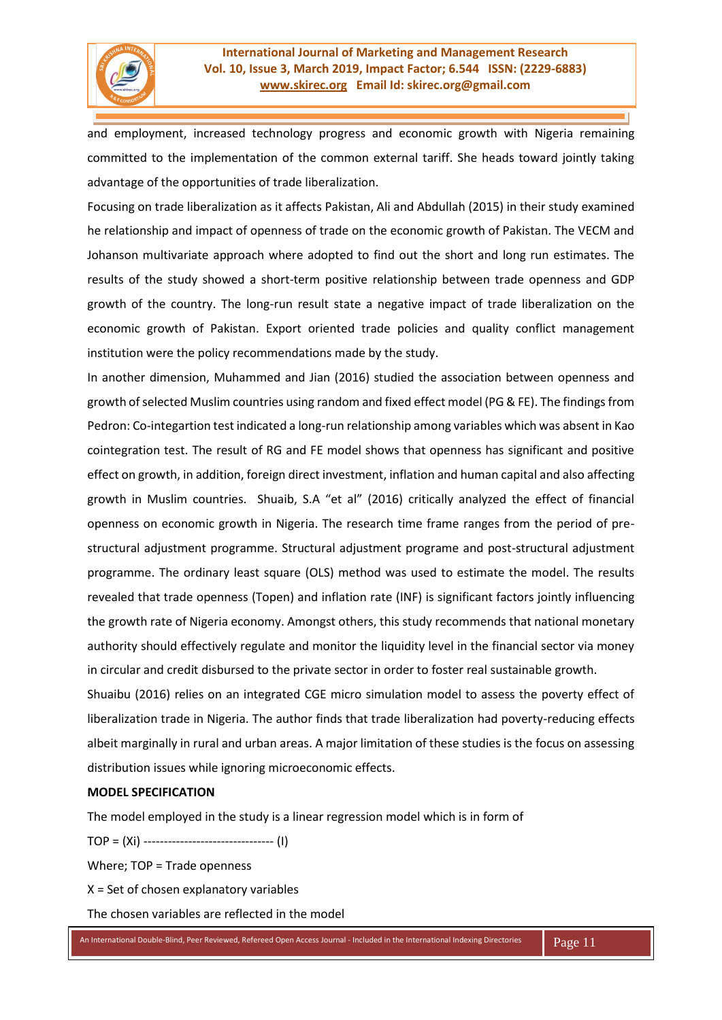

and employment, increased technology progress and economic growth with Nigeria remaining committed to the implementation of the common external tariff. She heads toward jointly taking advantage of the opportunities of trade liberalization.

Focusing on trade liberalization as it affects Pakistan, Ali and Abdullah (2015) in their study examined he relationship and impact of openness of trade on the economic growth of Pakistan. The VECM and Johanson multivariate approach where adopted to find out the short and long run estimates. The results of the study showed a short-term positive relationship between trade openness and GDP growth of the country. The long-run result state a negative impact of trade liberalization on the economic growth of Pakistan. Export oriented trade policies and quality conflict management institution were the policy recommendations made by the study.

In another dimension, Muhammed and Jian (2016) studied the association between openness and growth of selected Muslim countries using random and fixed effect model (PG & FE). The findings from Pedron: Co-integartion test indicated a long-run relationship among variables which was absent in Kao cointegration test. The result of RG and FE model shows that openness has significant and positive effect on growth, in addition, foreign direct investment, inflation and human capital and also affecting growth in Muslim countries. Shuaib, S.A "et al" (2016) critically analyzed the effect of financial openness on economic growth in Nigeria. The research time frame ranges from the period of prestructural adjustment programme. Structural adjustment programe and post-structural adjustment programme. The ordinary least square (OLS) method was used to estimate the model. The results revealed that trade openness (Topen) and inflation rate (INF) is significant factors jointly influencing the growth rate of Nigeria economy. Amongst others, this study recommends that national monetary authority should effectively regulate and monitor the liquidity level in the financial sector via money in circular and credit disbursed to the private sector in order to foster real sustainable growth.

Shuaibu (2016) relies on an integrated CGE micro simulation model to assess the poverty effect of liberalization trade in Nigeria. The author finds that trade liberalization had poverty-reducing effects albeit marginally in rural and urban areas. A major limitation of these studies is the focus on assessing distribution issues while ignoring microeconomic effects.

# **MODEL SPECIFICATION**

The model employed in the study is a linear regression model which is in form of

TOP = (Xi) -------------------------------- (I)

Where; TOP = Trade openness

 $X =$  Set of chosen explanatory variables

The chosen variables are reflected in the model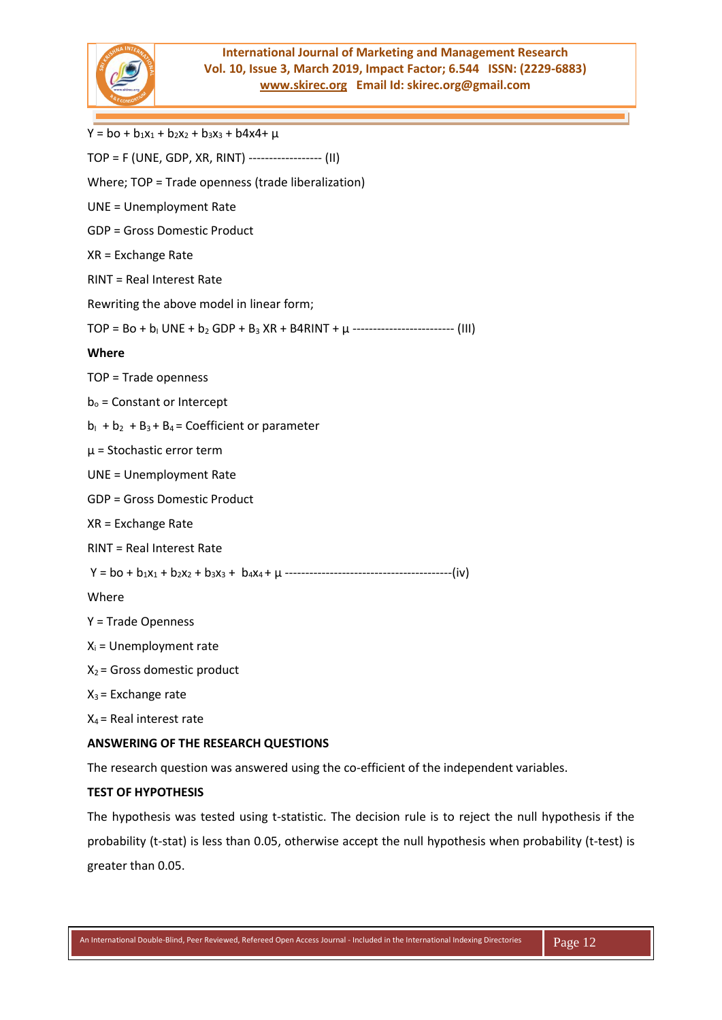

 $Y = bo + b_1x_1 + b_2x_2 + b_3x_3 + b_4x_4 + \mu$ TOP = F (UNE, GDP, XR, RINT) ------------------ (II) Where; TOP = Trade openness (trade liberalization) UNE = Unemployment Rate GDP = Gross Domestic Product XR = Exchange Rate RINT = Real Interest Rate Rewriting the above model in linear form;  $TOP = BO + b_1 UNE + b_2 GDP + B_3 XR + B4RINT + \mu$  --------------------------- (III) **Where**  TOP = Trade openness  $b<sub>o</sub>$  = Constant or Intercept  $b_1 + b_2 + B_3 + B_4 =$  Coefficient or parameter  $\mu$  = Stochastic error term UNE = Unemployment Rate GDP = Gross Domestic Product XR = Exchange Rate RINT = Real Interest Rate Y = bo + b1x<sup>1</sup> + b2x<sup>2</sup> + b3x<sup>3</sup> + b4x4 + µ -----------------------------------------(iv) Where Y = Trade Openness  $X_i$  = Unemployment rate  $X_2$  = Gross domestic product  $X_3$  = Exchange rate  $X_4$  = Real interest rate

## **ANSWERING OF THE RESEARCH QUESTIONS**

The research question was answered using the co-efficient of the independent variables.

### **TEST OF HYPOTHESIS**

The hypothesis was tested using t-statistic. The decision rule is to reject the null hypothesis if the probability (t-stat) is less than 0.05, otherwise accept the null hypothesis when probability (t-test) is greater than 0.05.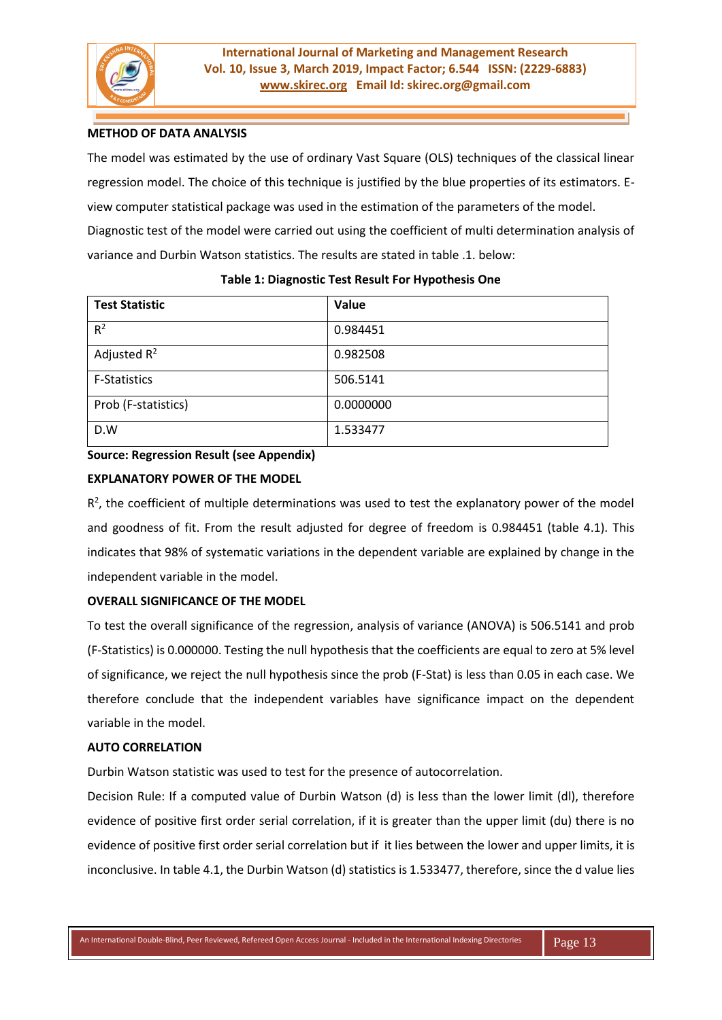

## **METHOD OF DATA ANALYSIS**

The model was estimated by the use of ordinary Vast Square (OLS) techniques of the classical linear regression model. The choice of this technique is justified by the blue properties of its estimators. Eview computer statistical package was used in the estimation of the parameters of the model. Diagnostic test of the model were carried out using the coefficient of multi determination analysis of variance and Durbin Watson statistics. The results are stated in table .1. below:

| <b>Test Statistic</b> | Value     |
|-----------------------|-----------|
| $R^2$                 | 0.984451  |
| Adjusted $R^2$        | 0.982508  |
| <b>F-Statistics</b>   | 506.5141  |
| Prob (F-statistics)   | 0.0000000 |
| D.W                   | 1.533477  |

### **Table 1: Diagnostic Test Result For Hypothesis One**

# **Source: Regression Result (see Appendix)**

# **EXPLANATORY POWER OF THE MODEL**

 $R<sup>2</sup>$ , the coefficient of multiple determinations was used to test the explanatory power of the model and goodness of fit. From the result adjusted for degree of freedom is 0.984451 (table 4.1). This indicates that 98% of systematic variations in the dependent variable are explained by change in the independent variable in the model.

# **OVERALL SIGNIFICANCE OF THE MODEL**

To test the overall significance of the regression, analysis of variance (ANOVA) is 506.5141 and prob (F-Statistics) is 0.000000. Testing the null hypothesis that the coefficients are equal to zero at 5% level of significance, we reject the null hypothesis since the prob (F-Stat) is less than 0.05 in each case. We therefore conclude that the independent variables have significance impact on the dependent variable in the model.

## **AUTO CORRELATION**

Durbin Watson statistic was used to test for the presence of autocorrelation.

Decision Rule: If a computed value of Durbin Watson (d) is less than the lower limit (dl), therefore evidence of positive first order serial correlation, if it is greater than the upper limit (du) there is no evidence of positive first order serial correlation but if it lies between the lower and upper limits, it is inconclusive. In table 4.1, the Durbin Watson (d) statistics is 1.533477, therefore, since the d value lies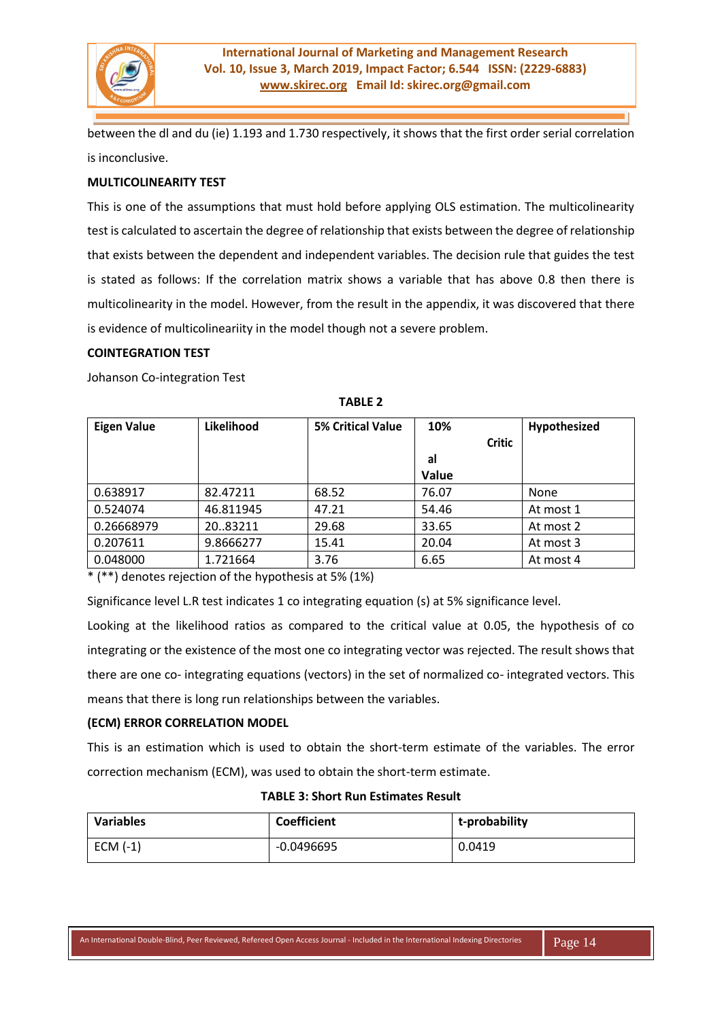

between the dl and du (ie) 1.193 and 1.730 respectively, it shows that the first order serial correlation is inconclusive.

### **MULTICOLINEARITY TEST**

This is one of the assumptions that must hold before applying OLS estimation. The multicolinearity test is calculated to ascertain the degree of relationship that exists between the degree of relationship that exists between the dependent and independent variables. The decision rule that guides the test is stated as follows: If the correlation matrix shows a variable that has above 0.8 then there is multicolinearity in the model. However, from the result in the appendix, it was discovered that there is evidence of multicolineariity in the model though not a severe problem.

# **COINTEGRATION TEST**

Johanson Co-integration Test

| <b>Eigen Value</b> | Likelihood | <b>5% Critical Value</b> | 10%           | Hypothesized |
|--------------------|------------|--------------------------|---------------|--------------|
|                    |            |                          | <b>Critic</b> |              |
|                    |            |                          | al            |              |
|                    |            |                          | Value         |              |
| 0.638917           | 82.47211   | 68.52                    | 76.07         | None         |
| 0.524074           | 46.811945  | 47.21                    | 54.46         | At most 1    |
| 0.26668979         | 20.83211   | 29.68                    | 33.65         | At most 2    |
| 0.207611           | 9.8666277  | 15.41                    | 20.04         | At most 3    |
| 0.048000           | 1.721664   | 3.76                     | 6.65          | At most 4    |

**TABLE 2**

\* (\*\*) denotes rejection of the hypothesis at 5% (1%)

Significance level L.R test indicates 1 co integrating equation (s) at 5% significance level.

Looking at the likelihood ratios as compared to the critical value at 0.05, the hypothesis of co integrating or the existence of the most one co integrating vector was rejected. The result shows that there are one co- integrating equations (vectors) in the set of normalized co- integrated vectors. This means that there is long run relationships between the variables.

# **(ECM) ERROR CORRELATION MODEL**

This is an estimation which is used to obtain the short-term estimate of the variables. The error correction mechanism (ECM), was used to obtain the short-term estimate.

| <b>Variables</b> | <b>Coefficient</b> | t-probability |
|------------------|--------------------|---------------|
| $ECM(-1)$        | $-0.0496695$       | 0.0419        |

|  | <b>TABLE 3: Short Run Estimates Result</b> |  |  |
|--|--------------------------------------------|--|--|
|--|--------------------------------------------|--|--|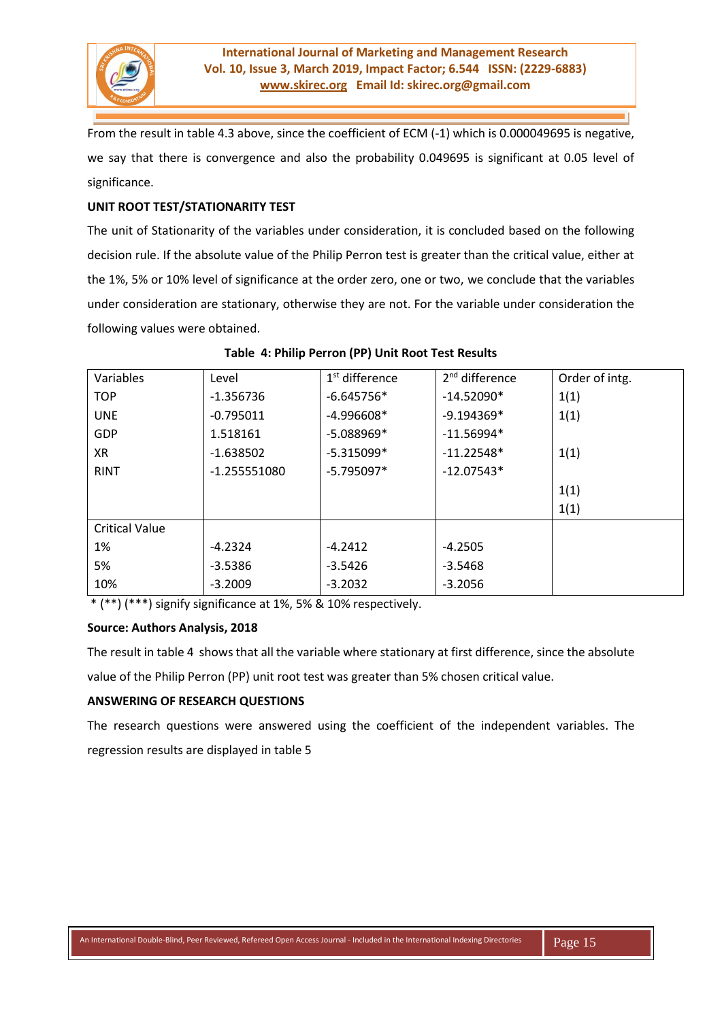

From the result in table 4.3 above, since the coefficient of ECM (-1) which is 0.000049695 is negative, we say that there is convergence and also the probability 0.049695 is significant at 0.05 level of significance.

# **UNIT ROOT TEST/STATIONARITY TEST**

The unit of Stationarity of the variables under consideration, it is concluded based on the following decision rule. If the absolute value of the Philip Perron test is greater than the critical value, either at the 1%, 5% or 10% level of significance at the order zero, one or two, we conclude that the variables under consideration are stationary, otherwise they are not. For the variable under consideration the following values were obtained.

| Variables             | Level        | 1 <sup>st</sup> difference | 2 <sup>nd</sup> difference | Order of intg. |
|-----------------------|--------------|----------------------------|----------------------------|----------------|
| <b>TOP</b>            | $-1.356736$  | $-6.645756*$               | $-14.52090*$               | 1(1)           |
| <b>UNE</b>            | $-0.795011$  | $-4.996608*$               | $-9.194369*$               | 1(1)           |
| GDP                   | 1.518161     | $-5.088969*$               | $-11.56994*$               |                |
| XR                    | $-1.638502$  | $-5.315099*$               | $-11.22548*$               | 1(1)           |
| <b>RINT</b>           | -1.255551080 | $-5.795097*$               | $-12.07543*$               |                |
|                       |              |                            |                            | 1(1)           |
|                       |              |                            |                            | 1(1)           |
| <b>Critical Value</b> |              |                            |                            |                |
| 1%                    | $-4.2324$    | $-4.2412$                  | $-4.2505$                  |                |
| 5%                    | $-3.5386$    | $-3.5426$                  | $-3.5468$                  |                |
| 10%                   | $-3.2009$    | $-3.2032$                  | $-3.2056$                  |                |

#### **Table 4: Philip Perron (PP) Unit Root Test Results**

\* (\*\*) (\*\*\*) signify significance at 1%, 5% & 10% respectively.

### **Source: Authors Analysis, 2018**

The result in table 4 shows that all the variable where stationary at first difference, since the absolute

value of the Philip Perron (PP) unit root test was greater than 5% chosen critical value.

### **ANSWERING OF RESEARCH QUESTIONS**

The research questions were answered using the coefficient of the independent variables. The regression results are displayed in table 5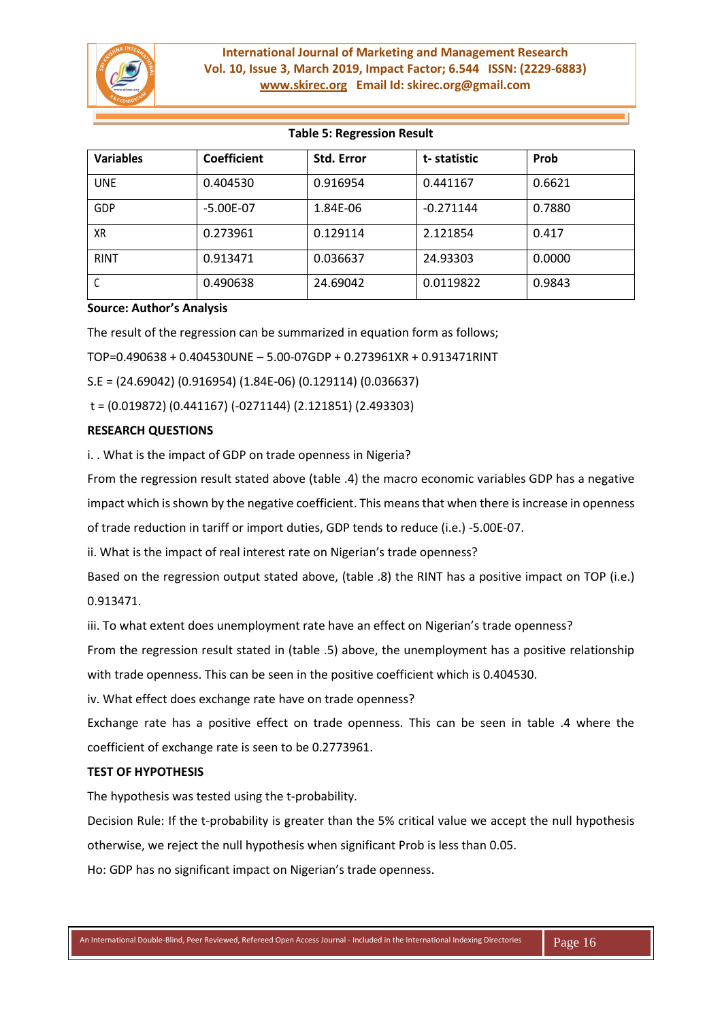

| <b>TADIC J. RUGIUSSION RUSUIL</b> |                    |            |             |        |
|-----------------------------------|--------------------|------------|-------------|--------|
| <b>Variables</b>                  | <b>Coefficient</b> | Std. Error | t-statistic | Prob   |
| <b>UNE</b>                        | 0.404530           | 0.916954   | 0.441167    | 0.6621 |
| GDP                               | $-5.00E - 07$      | 1.84E-06   | $-0.271144$ | 0.7880 |
| ХR                                | 0.273961           | 0.129114   | 2.121854    | 0.417  |
| <b>RINT</b>                       | 0.913471           | 0.036637   | 24.93303    | 0.0000 |
|                                   | 0.490638           | 24.69042   | 0.0119822   | 0.9843 |

# **Table 5: Regression Result**

#### **Source: Author's Analysis**

The result of the regression can be summarized in equation form as follows;

TOP=0.490638 + 0.404530UNE – 5.00-07GDP + 0.273961XR + 0.913471RINT

S.E = (24.69042) (0.916954) (1.84E-06) (0.129114) (0.036637)

t = (0.019872) (0.441167) (-0271144) (2.121851) (2.493303)

# **RESEARCH QUESTIONS**

i. . What is the impact of GDP on trade openness in Nigeria?

From the regression result stated above (table .4) the macro economic variables GDP has a negative impact which is shown by the negative coefficient. This means that when there is increase in openness of trade reduction in tariff or import duties, GDP tends to reduce (i.e.) -5.00E-07.

ii. What is the impact of real interest rate on Nigerian's trade openness?

Based on the regression output stated above, (table .8) the RINT has a positive impact on TOP (i.e.) 0.913471.

iii. To what extent does unemployment rate have an effect on Nigerian's trade openness?

From the regression result stated in (table .5) above, the unemployment has a positive relationship with trade openness. This can be seen in the positive coefficient which is 0.404530.

iv. What effect does exchange rate have on trade openness?

Exchange rate has a positive effect on trade openness. This can be seen in table .4 where the coefficient of exchange rate is seen to be 0.2773961.

### **TEST OF HYPOTHESIS**

The hypothesis was tested using the t-probability.

Decision Rule: If the t-probability is greater than the 5% critical value we accept the null hypothesis otherwise, we reject the null hypothesis when significant Prob is less than 0.05.

Ho: GDP has no significant impact on Nigerian's trade openness.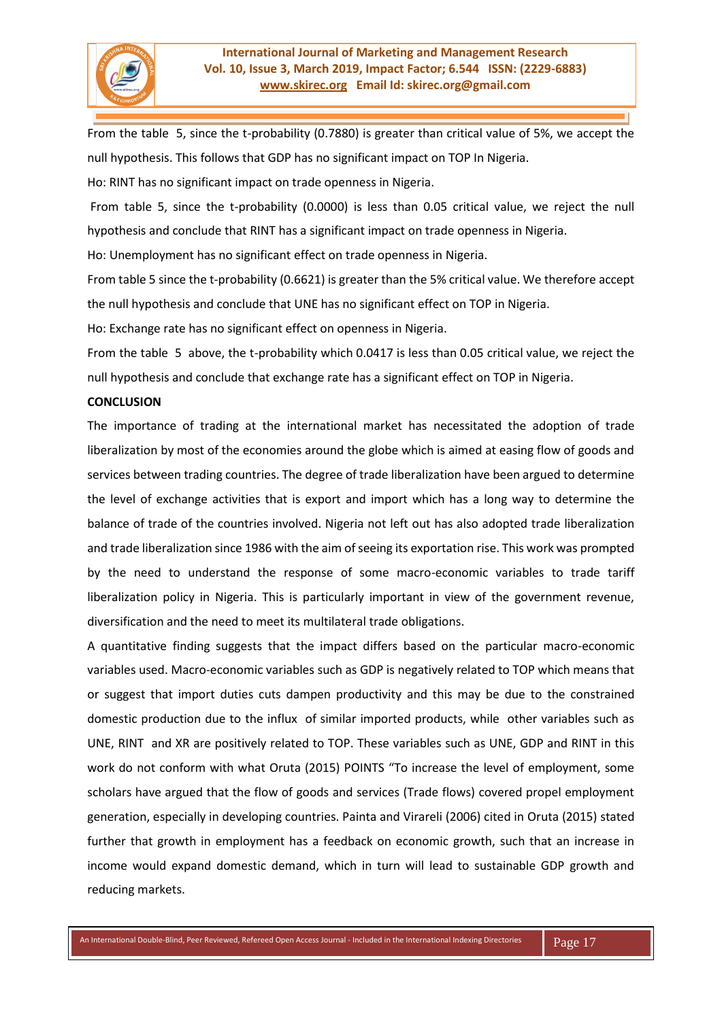

From the table 5, since the t-probability (0.7880) is greater than critical value of 5%, we accept the null hypothesis. This follows that GDP has no significant impact on TOP In Nigeria.

Ho: RINT has no significant impact on trade openness in Nigeria.

From table 5, since the t-probability (0.0000) is less than 0.05 critical value, we reject the null hypothesis and conclude that RINT has a significant impact on trade openness in Nigeria.

Ho: Unemployment has no significant effect on trade openness in Nigeria.

From table 5 since the t-probability (0.6621) is greater than the 5% critical value. We therefore accept the null hypothesis and conclude that UNE has no significant effect on TOP in Nigeria.

Ho: Exchange rate has no significant effect on openness in Nigeria.

From the table 5 above, the t-probability which 0.0417 is less than 0.05 critical value, we reject the null hypothesis and conclude that exchange rate has a significant effect on TOP in Nigeria.

# **CONCLUSION**

The importance of trading at the international market has necessitated the adoption of trade liberalization by most of the economies around the globe which is aimed at easing flow of goods and services between trading countries. The degree of trade liberalization have been argued to determine the level of exchange activities that is export and import which has a long way to determine the balance of trade of the countries involved. Nigeria not left out has also adopted trade liberalization and trade liberalization since 1986 with the aim of seeing its exportation rise. This work was prompted by the need to understand the response of some macro-economic variables to trade tariff liberalization policy in Nigeria. This is particularly important in view of the government revenue, diversification and the need to meet its multilateral trade obligations.

A quantitative finding suggests that the impact differs based on the particular macro-economic variables used. Macro-economic variables such as GDP is negatively related to TOP which means that or suggest that import duties cuts dampen productivity and this may be due to the constrained domestic production due to the influx of similar imported products, while other variables such as UNE, RINT and XR are positively related to TOP. These variables such as UNE, GDP and RINT in this work do not conform with what Oruta (2015) POINTS "To increase the level of employment, some scholars have argued that the flow of goods and services (Trade flows) covered propel employment generation, especially in developing countries. Painta and Virareli (2006) cited in Oruta (2015) stated further that growth in employment has a feedback on economic growth, such that an increase in income would expand domestic demand, which in turn will lead to sustainable GDP growth and reducing markets.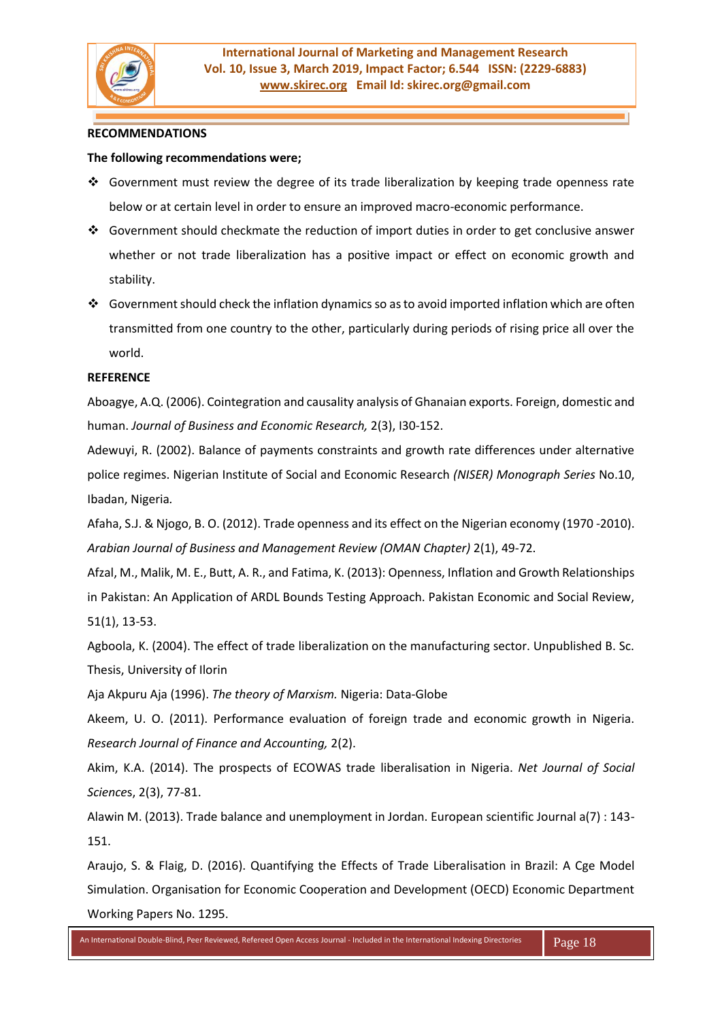

#### **RECOMMENDATIONS**

#### **The following recommendations were;**

- ❖ Government must review the degree of its trade liberalization by keeping trade openness rate below or at certain level in order to ensure an improved macro-economic performance.
- ❖ Government should checkmate the reduction of import duties in order to get conclusive answer whether or not trade liberalization has a positive impact or effect on economic growth and stability.
- ❖ Government should check the inflation dynamics so as to avoid imported inflation which are often transmitted from one country to the other, particularly during periods of rising price all over the world.

#### **REFERENCE**

Aboagye, A.Q. (2006). Cointegration and causality analysis of Ghanaian exports. Foreign, domestic and human. *Journal of Business and Economic Research,* 2(3), I30-152.

Adewuyi, R. (2002). Balance of payments constraints and growth rate differences under alternative police regimes. Nigerian Institute of Social and Economic Research *(NISER) Monograph Series* No.10, Ibadan, Nigeria*.*

Afaha, S.J. & Njogo, B. O. (2012). Trade openness and its effect on the Nigerian economy (1970 -2010). *Arabian Journal of Business and Management Review (OMAN Chapter)* 2(1), 49-72.

Afzal, M., Malik, M. E., Butt, A. R., and Fatima, K. (2013): Openness, Inflation and Growth Relationships in Pakistan: An Application of ARDL Bounds Testing Approach. Pakistan Economic and Social Review, 51(1), 13-53.

Agboola, K. (2004). The effect of trade liberalization on the manufacturing sector. Unpublished B. Sc. Thesis, University of Ilorin

Aja Akpuru Aja (1996). *The theory of Marxism.* Nigeria: Data-Globe

Akeem, U. O. (2011). Performance evaluation of foreign trade and economic growth in Nigeria. *Research Journal of Finance and Accounting,* 2(2).

Akim, K.A. (2014). The prospects of ECOWAS trade liberalisation in Nigeria. *Net Journal of Social Science*s, 2(3), 77-81.

Alawin M. (2013). Trade balance and unemployment in Jordan. European scientific Journal a(7) : 143- 151.

Araujo, S. & Flaig, D. (2016). Quantifying the Effects of Trade Liberalisation in Brazil: A Cge Model Simulation. Organisation for Economic Cooperation and Development (OECD) Economic Department Working Papers No. 1295.

An International Double-Blind, Peer Reviewed, Refereed Open Access Journal - Included in the International Indexing Directories Page 18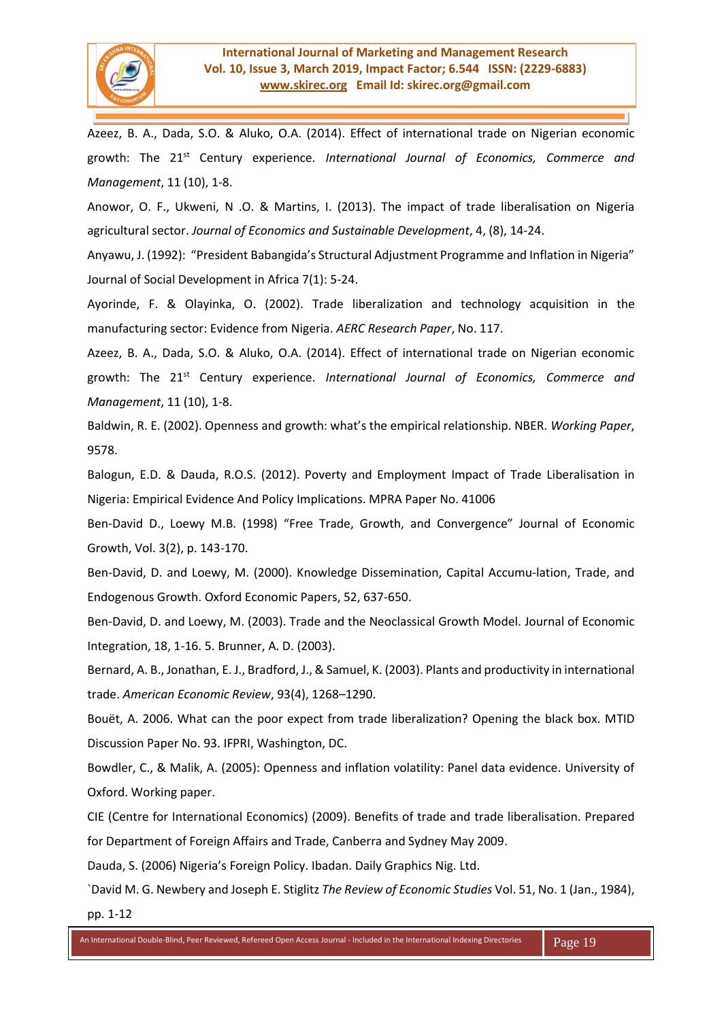

Azeez, B. A., Dada, S.O. & Aluko, O.A. (2014). Effect of international trade on Nigerian economic growth: The 21st Century experience. *International Journal of Economics, Commerce and Management*, 11 (10), 1-8.

Anowor, O. F., Ukweni, N .O. & Martins, I. (2013). The impact of trade liberalisation on Nigeria agricultural sector. *Journal of Economics and Sustainable Development*, 4, (8), 14-24.

Anyawu, J. (1992): "President Babangida's Structural Adjustment Programme and Inflation in Nigeria" Journal of Social Development in Africa 7(1): 5-24.

Ayorinde, F. & Olayinka, O. (2002). Trade liberalization and technology acquisition in the manufacturing sector: Evidence from Nigeria. *AERC Research Paper*, No. 117.

Azeez, B. A., Dada, S.O. & Aluko, O.A. (2014). Effect of international trade on Nigerian economic growth: The 21st Century experience. *International Journal of Economics, Commerce and Management*, 11 (10), 1-8.

Baldwin, R. E. (2002). Openness and growth: what's the empirical relationship. NBER. *Working Paper*, 9578.

Balogun, E.D. & Dauda, R.O.S. (2012). Poverty and Employment Impact of Trade Liberalisation in Nigeria: Empirical Evidence And Policy Implications. MPRA Paper No. 41006

Ben-David D., Loewy M.B. (1998) "Free Trade, Growth, and Convergence" Journal of Economic Growth, Vol. 3(2), p. 143-170.

Ben-David, D. and Loewy, M. (2000). Knowledge Dissemination, Capital Accumu-lation, Trade, and Endogenous Growth. Oxford Economic Papers, 52, 637-650.

Ben-David, D. and Loewy, M. (2003). Trade and the Neoclassical Growth Model. Journal of Economic Integration, 18, 1-16. 5. Brunner, A. D. (2003).

Bernard, A. B., Jonathan, E. J., Bradford, J., & Samuel, K. (2003). Plants and productivity in international trade. *American Economic Review*, 93(4), 1268–1290.

Bouët, A. 2006. What can the poor expect from trade liberalization? Opening the black box. MTID Discussion Paper No. 93. IFPRI, Washington, DC.

Bowdler, C., & Malik, A. (2005): Openness and inflation volatility: Panel data evidence. University of Oxford. Working paper.

CIE (Centre for International Economics) (2009). Benefits of trade and trade liberalisation. Prepared for Department of Foreign Affairs and Trade, Canberra and Sydney May 2009.

Dauda, S. (2006) Nigeria's Foreign Policy. Ibadan. Daily Graphics Nig. Ltd.

`David M. G. Newbery and Joseph E. Stiglitz *The Review of Economic Studies* Vol. 51, No. 1 (Jan., 1984), pp. 1-12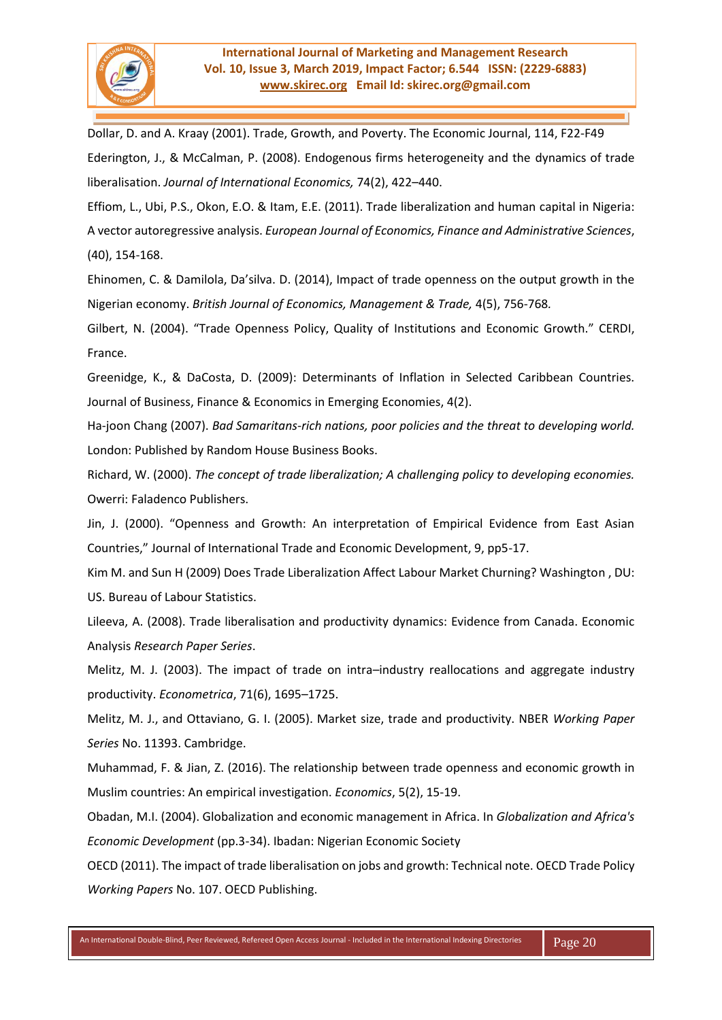

Dollar, D. and A. Kraay (2001). Trade, Growth, and Poverty. The Economic Journal, 114, F22-F49 Ederington, J., & McCalman, P. (2008). Endogenous firms heterogeneity and the dynamics of trade liberalisation. *Journal of International Economics,* 74(2), 422–440.

Effiom, L., Ubi, P.S., Okon, E.O. & Itam, E.E. (2011). Trade liberalization and human capital in Nigeria: A vector autoregressive analysis. *European Journal of Economics, Finance and Administrative Sciences*, (40), 154-168.

Ehinomen, C. & Damilola, Da'silva. D. (2014), Impact of trade openness on the output growth in the Nigerian economy. *British Journal of Economics, Management & Trade,* 4(5), 756-768*.*

Gilbert, N. (2004). "Trade Openness Policy, Quality of Institutions and Economic Growth." CERDI, France.

Greenidge, K., & DaCosta, D. (2009): Determinants of Inflation in Selected Caribbean Countries. Journal of Business, Finance & Economics in Emerging Economies, 4(2).

Ha-joon Chang (2007). *Bad Samaritans-rich nations, poor policies and the threat to developing world.*  London: Published by Random House Business Books.

Richard, W. (2000). *The concept of trade liberalization; A challenging policy to developing economies.*  Owerri: Faladenco Publishers.

Jin, J. (2000). "Openness and Growth: An interpretation of Empirical Evidence from East Asian Countries," Journal of International Trade and Economic Development, 9, pp5-17.

Kim M. and Sun H (2009) Does Trade Liberalization Affect Labour Market Churning? Washington , DU: US. Bureau of Labour Statistics.

Lileeva, A. (2008). Trade liberalisation and productivity dynamics: Evidence from Canada. Economic Analysis *Research Paper Series*.

Melitz, M. J. (2003). The impact of trade on intra–industry reallocations and aggregate industry productivity. *Econometrica*, 71(6), 1695–1725.

Melitz, M. J., and Ottaviano, G. I. (2005). Market size, trade and productivity. NBER *Working Paper Series* No. 11393. Cambridge.

Muhammad, F. & Jian, Z. (2016). The relationship between trade openness and economic growth in Muslim countries: An empirical investigation. *Economics*, 5(2), 15-19.

Obadan, M.I. (2004). Globalization and economic management in Africa. In *Globalization and Africa's Economic Development* (pp.3-34). Ibadan: Nigerian Economic Society

OECD (2011). The impact of trade liberalisation on jobs and growth: Technical note. OECD Trade Policy *Working Papers* No. 107. OECD Publishing.